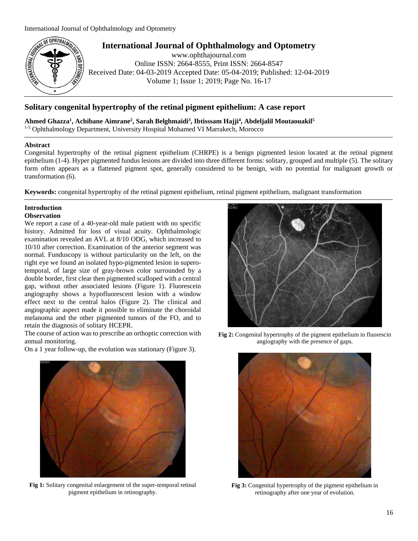

**International Journal of Ophthalmology and Optometry**

www.ophthajournal.com Online ISSN: 2664-8555, Print ISSN: 2664-8547 Received Date: 04-03-2019 Accepted Date: 05-04-2019; Published: 12-04-2019 Volume 1; Issue 1; 2019; Page No. 16-17

# **Solitary congenital hypertrophy of the retinal pigment epithelium: A case report**

**Ahmed Ghazza<sup>1</sup> , Achibane Aimrane<sup>2</sup> , Sarah Belghmaidi<sup>3</sup> , Ibtisssam Hajji<sup>4</sup> , Abdeljalil Moutaouakil<sup>5</sup>**

1-5 Ophthalmology Department, University Hospital Mohamed VI Marrakech, Morocco

#### **Abstract**

Congenital hypertrophy of the retinal pigment epithelium (CHRPE) is a benign pigmented lesion located at the retinal pigment epithelium (1-4). Hyper pigmented fundus lesions are divided into three different forms: solitary, grouped and multiple (5). The solitary form often appears as a flattened pigment spot, generally considered to be benign, with no potential for malignant growth or transformation (6).

**Keywords:** congenital hypertrophy of the retinal pigment epithelium, retinal pigment epithelium, malignant transformation

#### **Introduction Observation**

We report a case of a 40-year-old male patient with no specific history. Admitted for loss of visual acuity. Ophthalmologic examination revealed an AVL at 8/10 ODG, which increased to 10/10 after correction. Examination of the anterior segment was normal. Funduscopy is without particularity on the left, on the right eye we found an isolated hypo-pigmented lesion in superotemporal, of large size of gray-brown color surrounded by a double border, first clear then pigmented scalloped with a central gap, without other associated lesions (Figure 1). Fluorescein angiography shows a hypofluorescent lesion with a window effect next to the central halos (Figure 2). The clinical and angiographic aspect made it possible to eliminate the choroidal melanoma and the other pigmented tumors of the FO, and to retain the diagnosis of solitary HCEPR.

The course of action was to prescribe an orthoptic correction with annual monitoring.

On a 1 year follow-up, the evolution was stationary (Figure 3).



**Fig 1:** Solitary congenital enlargement of the super-temporal retinal pigment epithelium in retinography.



**Fig 2:** Congenital hypertrophy of the pigment epithelium in fluorescin angiography with the presence of gaps.



**Fig 3:** Congenital hypertrophy of the pigment epithelium in retinography after one year of evolution.